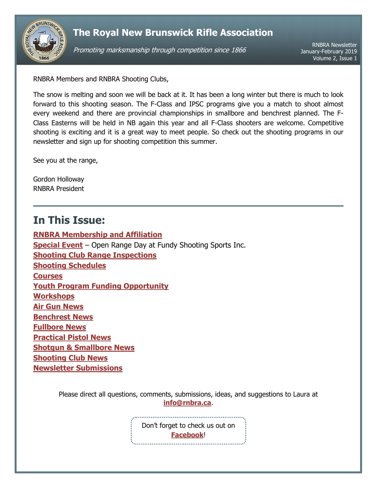

# **The Royal New Brunswick Rifle Association**

Promoting marksmanship through competition since 1866

RNBRA Newsletter January-February 2019 Volume 2, Issue 1

RNBRA Members and RNBRA Shooting Clubs,

The snow is melting and soon we will be back at it. It has been a long winter but there is much to look forward to this shooting season. The F-Class and IPSC programs give you a match to shoot almost every weekend and there are provincial championships in smallbore and benchrest planned. The F-Class Easterns will be held in NB again this year and all F-Class shooters are welcome. Competitive shooting is exciting and it is a great way to meet people. So check out the shooting programs in our newsletter and sign up for shooting competition this summer.

See you at the range,

Gordon Holloway RNBRA President

# <span id="page-0-0"></span>**In This Issue:**

**[RNBRA Membership and Affiliation](#page-1-0) [Special Event](#page-1-1)** – Open Range Day at Fundy Shooting Sports Inc. **[Shooting Club Range Inspections](#page-1-2) [Shooting Schedules](#page-1-3) [Courses](#page-2-0) [Youth Program Funding Opportunity](#page-2-1) [Workshops](#page-2-2) [Air Gun](#page-2-3) News [Benchrest News](#page-3-0) [Fullbore News](#page-3-1) [Practical Pistol](#page-3-2) News Shotgun [& Smallbore](#page-3-3) News [Shooting Club News](#page-4-0) [Newsletter Submissions](#page-4-1)**

> Please direct all questions, comments, submissions, ideas, and suggestions to Laura at **[info@rnbra.ca](mailto:info@rnbra.ca?subject=RNBRA%20Newsletter)**.

> > Don't forget to check us out on **[Facebook](http://www.facebook.com/RNBRA)**!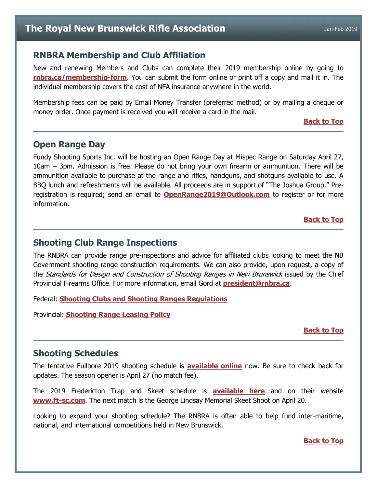### <span id="page-1-0"></span>**RNBRA Membership and Club Affiliation**

New and renewing Members and Clubs can complete their 2019 membership online by going to **[rnbra.ca/membership-form](http://rnbra.ca/membership-form/)**. You can submit the form online or print off a copy and mail it in. The individual membership covers the cost of NFA insurance anywhere in the world.

Membership fees can be paid by Email Money Transfer (preferred method) or by mailing a cheque or money order. Once payment is received you will receive a card in the mail.

#### **[Back to Top](#page-0-0)**

## <span id="page-1-1"></span>**Open Range Day**

Fundy Shooting Sports Inc. will be hosting an Open Range Day at Mispec Range on Saturday April 27, 10am – 3pm. Admission is free. Please do not bring your own firearm or ammunition. There will be ammunition available to purchase at the range and rifles, handguns, and shotguns available to use. A BBQ lunch and refreshments will be available. All proceeds are in support of "The Joshua Group." Preregistration is required; send an email to **[OpenRange2019@Outlook.com](mailto:OpenRange2019@Outlook.com)** to register or for more information.

#### **[Back to Top](#page-0-0)**

### <span id="page-1-2"></span>**Shooting Club Range Inspections**

The RNBRA can provide range pre-inspections and advice for affiliated clubs looking to meet the NB Government shooting range construction requirements. We can also provide, upon request, a copy of the Standards for Design and Construction of Shooting Ranges in New Brunswick issued by the Chief Provincial Firearms Office. For more information, email Gord at **[president@rnbra.ca](mailto:president@rnbra.ca)**.

Federal: **[Shooting Clubs and Shooting Ranges Regulations](https://laws-lois.justice.gc.ca/PDF/SOR-98-212.pdf)**

Provincial: **[Shooting Range Leasing Policy](https://www2.gnb.ca/content/dam/gnb/Departments/nr-rn/pdf/en/ForestsCrownLands/2017-12-08_shooting_range_policy.pdf)**

#### **[Back to Top](#page-0-0)**

### <span id="page-1-3"></span>**Shooting Schedules**

The tentative Fullbore 2019 shooting schedule is **[available online](https://docs.google.com/document/d/1P6YveNhkO81U5qCQiQkmU1YlnoM-LEUXOCmbID-5vDQ/edit?usp=sharing)** now. Be sure to check back for updates. The season opener is April 27 (no match fee).

The 2019 Fredericton Trap and Skeet schedule is **[available](https://docs.google.com/document/d/1s-A0lZqlMKsNawuynmNH49EwfXYgExI1amfwjZVMHbo/edit?usp=sharing) here** and on their website **<www.ft-sc.com>**. The next match is the George Lindsay Memorial Skeet Shoot on April 20.

Looking to expand your shooting schedule? The RNBRA is often able to help fund inter-maritime, national, and international competitions held in New Brunswick.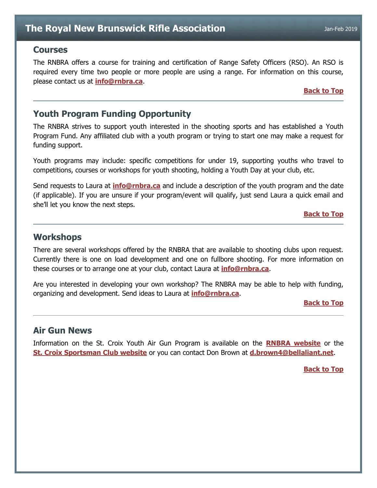### <span id="page-2-0"></span>**Courses**

The RNBRA offers a course for training and certification of Range Safety Officers (RSO). An RSO is required every time two people or more people are using a range. For information on this course, please contact us at **[info@rnbra.ca](mailto:info@rnbra.ca?subject=RNBRA%20Courses)**.

### **[Back to Top](#page-0-0)**

## <span id="page-2-1"></span>**Youth Program Funding Opportunity**

The RNBRA strives to support youth interested in the shooting sports and has established a Youth Program Fund. Any affiliated club with a youth program or trying to start one may make a request for funding support.

Youth programs may include: specific competitions for under 19, supporting youths who travel to competitions, courses or workshops for youth shooting, holding a Youth Day at your club, etc.

Send requests to Laura at **[info@rnbra.ca](mailto:info@rnbra.ca?subject=Youth%20Program%20Funding)** and include a description of the youth program and the date (if applicable). If you are unsure if your program/event will qualify, just send Laura a quick email and she'll let you know the next steps.

#### **[Back to Top](#page-0-0)**

### <span id="page-2-2"></span>**Workshops**

There are several workshops offered by the RNBRA that are available to shooting clubs upon request. Currently there is one on load development and one on fullbore shooting. For more information on these courses or to arrange one at your club, contact Laura at **[info@rnbra.ca](mailto:info@rnbra.ca?subject=Newsletter-Workshop)**.

Are you interested in developing your own workshop? The RNBRA may be able to help with funding, organizing and development. Send ideas to Laura at **[info@rnbra.ca](mailto:info@rnbra.ca?subject=Newsletter-Workshop)**.

**[Back to Top](#page-0-0)**

### <span id="page-2-3"></span>**Air Gun News**

Information on the St. Croix Youth Air Gun Program is available on the **[RNBRA website](http://rnbra.ca/)** or the **[St. Croix Sportsman Club website](http://www.stcroixsportsmanclub.com/apps/blog/categories/show/1610968-youth-airgun)** or you can contact Don Brown at **[d.brown4@bellaliant.net](mailto:d.brown4@bellaliant.net?subject=Air%20Gun)**.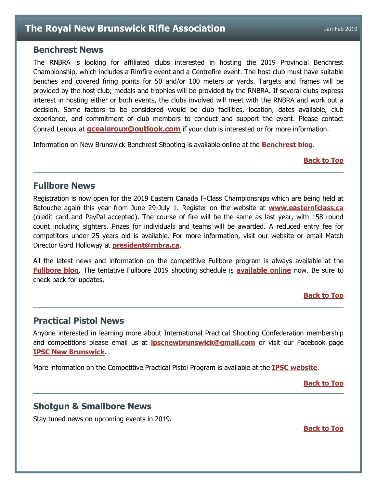### <span id="page-3-0"></span>**Benchrest News**

The RNBRA is looking for affiliated clubs interested in hosting the 2019 Provincial Benchrest Championship, which includes a Rimfire event and a Centrefire event. The host club must have suitable benches and covered firing points for 50 and/or 100 meters or yards. Targets and frames will be provided by the host club; medals and trophies will be provided by the RNBRA. If several clubs express interest in hosting either or both events, the clubs involved will meet with the RNBRA and work out a decision. Some factors to be considered would be club facilities, location, dates available, club experience, and commitment of club members to conduct and support the event. Please contact Conrad Leroux at **[gcealeroux@outlook.com](mailto:gcealeroux@outlook.com)** if your club is interested or for more information.

Information on New Brunswick Benchrest Shooting is available online at the **[Benchrest blog](http://newbrunswick-benchrest.blogspot.ca/)**.

#### **[Back to Top](#page-0-0)**

### <span id="page-3-1"></span>**Fullbore News**

Registration is now open for the 2019 Eastern Canada F-Class Championships which are being held at Batouche again this year from June 29-July 1. Register on the website at **[www.easternfclass.ca](http://www.easternfclass.ca/)** (credit card and PayPal accepted). The course of fire will be the same as last year, with 158 round count including sighters. Prizes for individuals and teams will be awarded. A reduced entry fee for competitors under 25 years old is available. For more information, visit our website or email Match Director Gord Holloway at **[president@rnbra.ca](mailto:president@rnbra.ca?subject=Eastern%20F-Class%20Championship)**.

All the latest news and information on the competitive Fullbore program is always available at the **[Fullbore blog](http://rnbrafullbore.blogspot.ca/)**. The tentative Fullbore 2019 shooting schedule is **[available online](https://docs.google.com/document/d/1P6YveNhkO81U5qCQiQkmU1YlnoM-LEUXOCmbID-5vDQ/edit?usp=sharing)** now. Be sure to check back for updates.

### **[Back to Top](#page-0-0)**

### <span id="page-3-2"></span>**Practical Pistol News**

Anyone interested in learning more about International Practical Shooting Confederation membership and competitions please email us at **[ipscnewbrunswick@gmail.com](mailto:ipscnewbrunswick@gmail.com)** or visit our Facebook page **[IPSC New Brunswick](https://www.facebook.com/IpscNewBrunswick/)**.

More information on the Competitive Practical Pistol Program is available at the **[IPSC website](http://www.ipscnb.ca/)**.

**[Back to Top](#page-0-0)**

### <span id="page-3-3"></span>**Shotgun & Smallbore News**

Stay tuned news on upcoming events in 2019.